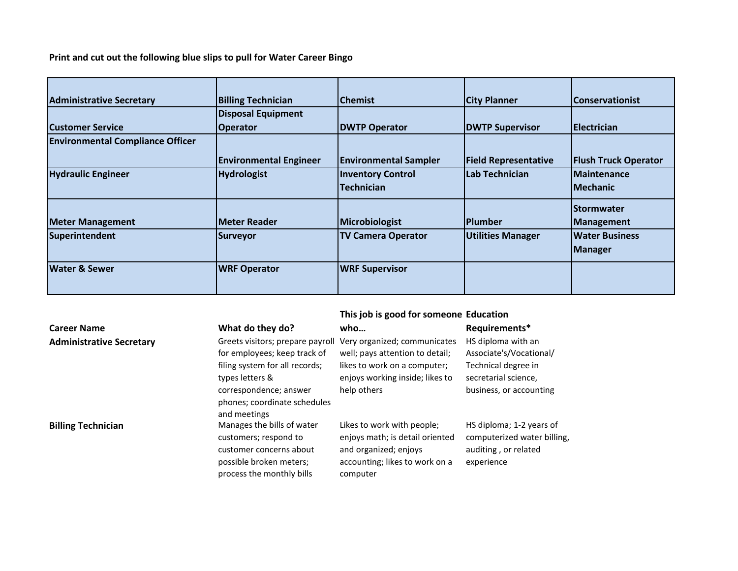**Print and cut out the following blue slips to pull for Water Career Bingo**

| Administrative Secretary                | <b>Billing Technician</b><br><b>Disposal Equipment</b> | lChemist                     | <b>City Planner</b>         | <b>Conservationist</b>      |
|-----------------------------------------|--------------------------------------------------------|------------------------------|-----------------------------|-----------------------------|
| Customer Service                        | <b>Operator</b>                                        | <b>DWTP Operator</b>         | <b>DWTP Supervisor</b>      | <b>Electrician</b>          |
| <b>Environmental Compliance Officer</b> |                                                        |                              |                             |                             |
|                                         | <b>Environmental Engineer</b>                          | <b>Environmental Sampler</b> | <b>Field Representative</b> | <b>Flush Truck Operator</b> |
| <b>Hydraulic Engineer</b>               | <b>Hydrologist</b>                                     | <b>Inventory Control</b>     | Lab Technician              | Maintenance                 |
|                                         |                                                        | <b>Technician</b>            |                             | <b>IMechanic</b>            |
|                                         |                                                        |                              |                             | <b>Stormwater</b>           |
| <b>Meter Management</b>                 | <b>Meter Reader</b>                                    | Microbiologist               | <b>Plumber</b>              | <b>Management</b>           |
| Superintendent                          | Surveyor                                               | <b>TV Camera Operator</b>    | <b>Utilities Manager</b>    | <b>Water Business</b>       |
|                                         |                                                        |                              |                             | Manager                     |
| <b>Water &amp; Sewer</b>                | <b>WRF Operator</b>                                    | <b>WRF Supervisor</b>        |                             |                             |
|                                         |                                                        |                              |                             |                             |

| This job is good for someone Education |  |
|----------------------------------------|--|
|----------------------------------------|--|

| <b>Career Name</b>              | What do they do?                                                                                                                       | who                                                                                                                                  | Requirements*                                                                                 |
|---------------------------------|----------------------------------------------------------------------------------------------------------------------------------------|--------------------------------------------------------------------------------------------------------------------------------------|-----------------------------------------------------------------------------------------------|
| <b>Administrative Secretary</b> | Greets visitors; prepare payroll<br>for employees; keep track of<br>filing system for all records;                                     | Very organized; communicates<br>well; pays attention to detail;<br>likes to work on a computer;                                      | HS diploma with an<br>Associate's/Vocational/<br>Technical degree in                          |
|                                 | types letters &<br>correspondence; answer<br>phones; coordinate schedules<br>and meetings                                              | enjoys working inside; likes to<br>help others                                                                                       | secretarial science,<br>business, or accounting                                               |
| <b>Billing Technician</b>       | Manages the bills of water<br>customers; respond to<br>customer concerns about<br>possible broken meters;<br>process the monthly bills | Likes to work with people;<br>enjoys math; is detail oriented<br>and organized; enjoys<br>accounting; likes to work on a<br>computer | HS diploma; 1-2 years of<br>computerized water billing,<br>auditing, or related<br>experience |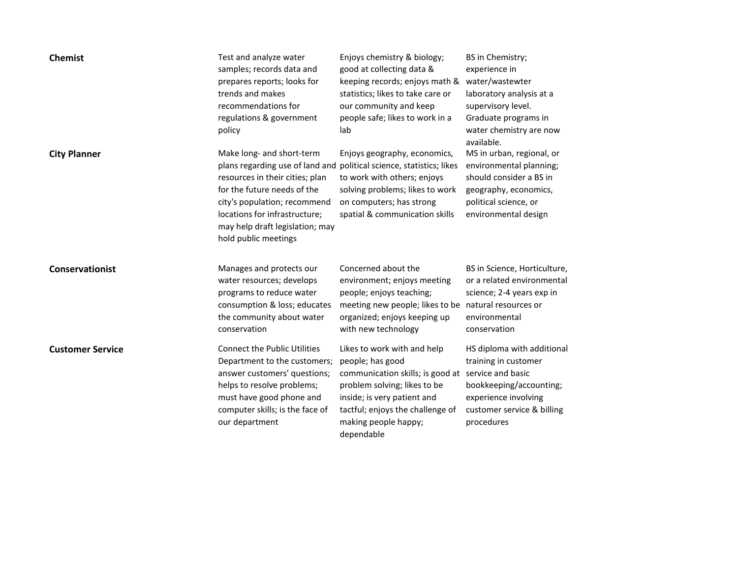| <b>Chemist</b>          | Test and analyze water<br>samples; records data and<br>prepares reports; looks for<br>trends and makes<br>recommendations for<br>regulations & government<br>policy                                                     | Enjoys chemistry & biology;<br>good at collecting data &<br>keeping records; enjoys math &<br>statistics; likes to take care or<br>our community and keep<br>people safe; likes to work in a<br>lab                                            | BS in Chemistry;<br>experience in<br>water/wastewter<br>laboratory analysis at a<br>supervisory level.<br>Graduate programs in<br>water chemistry are now<br>available. |
|-------------------------|-------------------------------------------------------------------------------------------------------------------------------------------------------------------------------------------------------------------------|------------------------------------------------------------------------------------------------------------------------------------------------------------------------------------------------------------------------------------------------|-------------------------------------------------------------------------------------------------------------------------------------------------------------------------|
| <b>City Planner</b>     | Make long- and short-term<br>resources in their cities; plan<br>for the future needs of the<br>city's population; recommend<br>locations for infrastructure;<br>may help draft legislation; may<br>hold public meetings | Enjoys geography, economics,<br>plans regarding use of land and political science, statistics; likes<br>to work with others; enjoys<br>solving problems; likes to work<br>on computers; has strong<br>spatial & communication skills           | MS in urban, regional, or<br>environmental planning;<br>should consider a BS in<br>geography, economics,<br>political science, or<br>environmental design               |
| Conservationist         | Manages and protects our<br>water resources; develops<br>programs to reduce water<br>consumption & loss; educates<br>the community about water<br>conservation                                                          | Concerned about the<br>environment; enjoys meeting<br>people; enjoys teaching;<br>meeting new people; likes to be<br>organized; enjoys keeping up<br>with new technology                                                                       | BS in Science, Horticulture,<br>or a related environmental<br>science; 2-4 years exp in<br>natural resources or<br>environmental<br>conservation                        |
| <b>Customer Service</b> | <b>Connect the Public Utilities</b><br>Department to the customers;<br>answer customers' questions;<br>helps to resolve problems;<br>must have good phone and<br>computer skills; is the face of<br>our department      | Likes to work with and help<br>people; has good<br>communication skills; is good at service and basic<br>problem solving; likes to be<br>inside; is very patient and<br>tactful; enjoys the challenge of<br>making people happy;<br>dependable | HS diploma with additional<br>training in customer<br>bookkeeping/accounting;<br>experience involving<br>customer service & billing<br>procedures                       |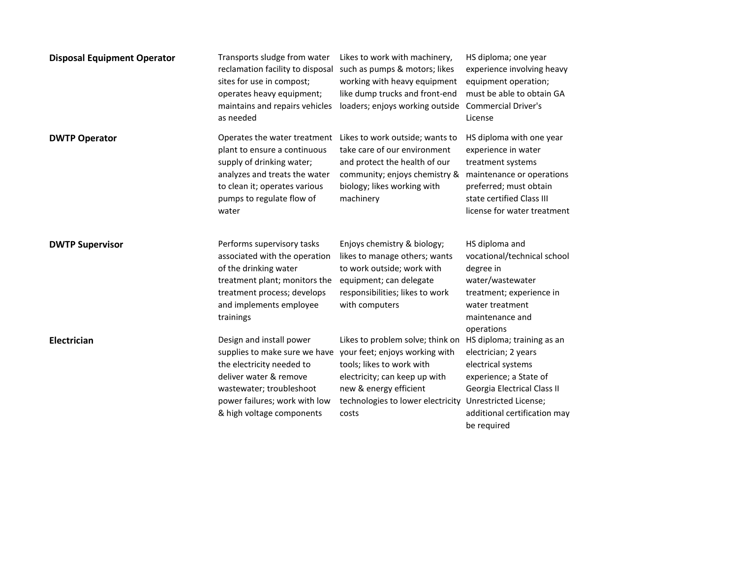| <b>Disposal Equipment Operator</b> | Transports sludge from water<br>reclamation facility to disposal<br>sites for use in compost;<br>operates heavy equipment;<br>maintains and repairs vehicles<br>as needed                                  | Likes to work with machinery,<br>such as pumps & motors; likes<br>working with heavy equipment<br>like dump trucks and front-end<br>loaders; enjoys working outside                                      | HS diploma; one year<br>experience involving heavy<br>equipment operation;<br>must be able to obtain GA<br><b>Commercial Driver's</b><br>License                                                                 |
|------------------------------------|------------------------------------------------------------------------------------------------------------------------------------------------------------------------------------------------------------|----------------------------------------------------------------------------------------------------------------------------------------------------------------------------------------------------------|------------------------------------------------------------------------------------------------------------------------------------------------------------------------------------------------------------------|
| <b>DWTP Operator</b>               | Operates the water treatment<br>plant to ensure a continuous<br>supply of drinking water;<br>analyzes and treats the water<br>to clean it; operates various<br>pumps to regulate flow of<br>water          | Likes to work outside; wants to<br>take care of our environment<br>and protect the health of our<br>community; enjoys chemistry &<br>biology; likes working with<br>machinery                            | HS diploma with one year<br>experience in water<br>treatment systems<br>maintenance or operations<br>preferred; must obtain<br>state certified Class III<br>license for water treatment                          |
| <b>DWTP Supervisor</b>             | Performs supervisory tasks<br>associated with the operation<br>of the drinking water<br>treatment plant; monitors the<br>treatment process; develops<br>and implements employee<br>trainings               | Enjoys chemistry & biology;<br>likes to manage others; wants<br>to work outside; work with<br>equipment; can delegate<br>responsibilities; likes to work<br>with computers                               | HS diploma and<br>vocational/technical school<br>degree in<br>water/wastewater<br>treatment; experience in<br>water treatment<br>maintenance and<br>operations                                                   |
| Electrician                        | Design and install power<br>supplies to make sure we have<br>the electricity needed to<br>deliver water & remove<br>wastewater; troubleshoot<br>power failures; work with low<br>& high voltage components | Likes to problem solve; think on<br>your feet; enjoys working with<br>tools; likes to work with<br>electricity; can keep up with<br>new & energy efficient<br>technologies to lower electricity<br>costs | HS diploma; training as an<br>electrician; 2 years<br>electrical systems<br>experience; a State of<br><b>Georgia Electrical Class II</b><br>Unrestricted License;<br>additional certification may<br>be required |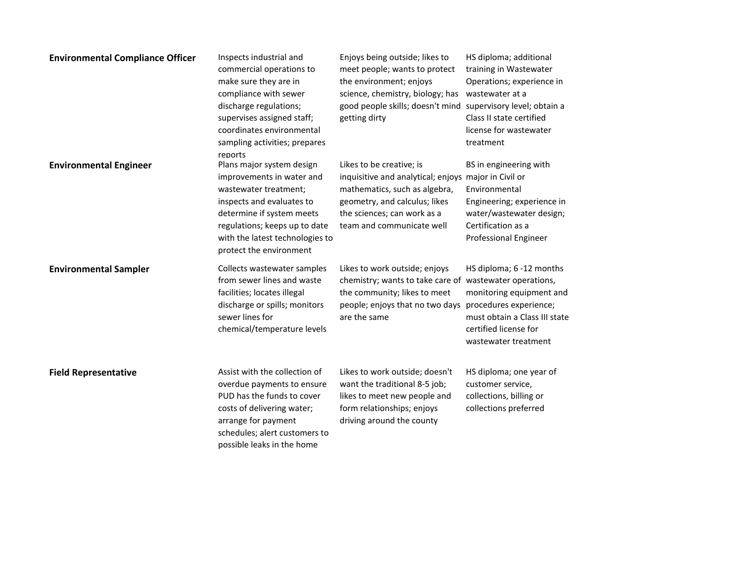| <b>Environmental Compliance Officer</b> | Inspects industrial and<br>commercial operations to<br>make sure they are in<br>compliance with sewer<br>discharge regulations;<br>supervises assigned staff;<br>coordinates environmental<br>sampling activities; prepares<br>reports   | Enjoys being outside; likes to<br>meet people; wants to protect<br>the environment; enjoys<br>science, chemistry, biology; has<br>good people skills; doesn't mind<br>getting dirty          | HS diploma; additional<br>training in Wastewater<br>Operations; experience in<br>wastewater at a<br>supervisory level; obtain a<br>Class II state certified<br>license for wastewater<br>treatment |
|-----------------------------------------|------------------------------------------------------------------------------------------------------------------------------------------------------------------------------------------------------------------------------------------|----------------------------------------------------------------------------------------------------------------------------------------------------------------------------------------------|----------------------------------------------------------------------------------------------------------------------------------------------------------------------------------------------------|
| <b>Environmental Engineer</b>           | Plans major system design<br>improvements in water and<br>wastewater treatment;<br>inspects and evaluates to<br>determine if system meets<br>regulations; keeps up to date<br>with the latest technologies to<br>protect the environment | Likes to be creative; is<br>inquisitive and analytical; enjoys<br>mathematics, such as algebra,<br>geometry, and calculus; likes<br>the sciences; can work as a<br>team and communicate well | BS in engineering with<br>major in Civil or<br>Environmental<br>Engineering; experience in<br>water/wastewater design;<br>Certification as a<br><b>Professional Engineer</b>                       |
| <b>Environmental Sampler</b>            | Collects wastewater samples<br>from sewer lines and waste<br>facilities; locates illegal<br>discharge or spills; monitors<br>sewer lines for<br>chemical/temperature levels                                                              | Likes to work outside; enjoys<br>chemistry; wants to take care of<br>the community; likes to meet<br>people; enjoys that no two days<br>are the same                                         | HS diploma; 6 -12 months<br>wastewater operations,<br>monitoring equipment and<br>procedures experience;<br>must obtain a Class III state<br>certified license for<br>wastewater treatment         |
| <b>Field Representative</b>             | Assist with the collection of<br>overdue payments to ensure<br>PUD has the funds to cover<br>costs of delivering water;<br>arrange for payment<br>schedules; alert customers to<br>possible leaks in the home                            | Likes to work outside; doesn't<br>want the traditional 8-5 job;<br>likes to meet new people and<br>form relationships; enjoys<br>driving around the county                                   | HS diploma; one year of<br>customer service,<br>collections, billing or<br>collections preferred                                                                                                   |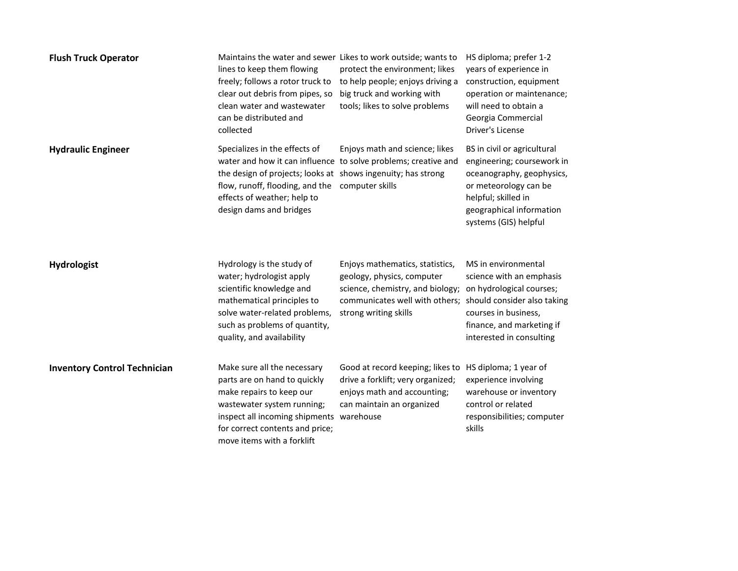| <b>Flush Truck Operator</b>         | lines to keep them flowing<br>freely; follows a rotor truck to<br>clear out debris from pipes, so<br>clean water and wastewater<br>can be distributed and<br>collected                                                   | Maintains the water and sewer Likes to work outside; wants to<br>protect the environment; likes<br>to help people; enjoys driving a<br>big truck and working with<br>tools; likes to solve problems | HS diploma; prefer 1-2<br>years of experience in<br>construction, equipment<br>operation or maintenance;<br>will need to obtain a<br>Georgia Commercial<br>Driver's License                 |
|-------------------------------------|--------------------------------------------------------------------------------------------------------------------------------------------------------------------------------------------------------------------------|-----------------------------------------------------------------------------------------------------------------------------------------------------------------------------------------------------|---------------------------------------------------------------------------------------------------------------------------------------------------------------------------------------------|
| <b>Hydraulic Engineer</b>           | Specializes in the effects of<br>the design of projects; looks at shows ingenuity; has strong<br>flow, runoff, flooding, and the<br>effects of weather; help to<br>design dams and bridges                               | Enjoys math and science; likes<br>water and how it can influence to solve problems; creative and<br>computer skills                                                                                 | BS in civil or agricultural<br>engineering; coursework in<br>oceanography, geophysics,<br>or meteorology can be<br>helpful; skilled in<br>geographical information<br>systems (GIS) helpful |
| <b>Hydrologist</b>                  | Hydrology is the study of<br>water; hydrologist apply<br>scientific knowledge and<br>mathematical principles to<br>solve water-related problems,<br>such as problems of quantity,<br>quality, and availability           | Enjoys mathematics, statistics,<br>geology, physics, computer<br>science, chemistry, and biology;<br>communicates well with others;<br>strong writing skills                                        | MS in environmental<br>science with an emphasis<br>on hydrological courses;<br>should consider also taking<br>courses in business,<br>finance, and marketing if<br>interested in consulting |
| <b>Inventory Control Technician</b> | Make sure all the necessary<br>parts are on hand to quickly<br>make repairs to keep our<br>wastewater system running;<br>inspect all incoming shipments<br>for correct contents and price;<br>move items with a forklift | Good at record keeping; likes to<br>drive a forklift; very organized;<br>enjoys math and accounting;<br>can maintain an organized<br>warehouse                                                      | HS diploma; 1 year of<br>experience involving<br>warehouse or inventory<br>control or related<br>responsibilities; computer<br>skills                                                       |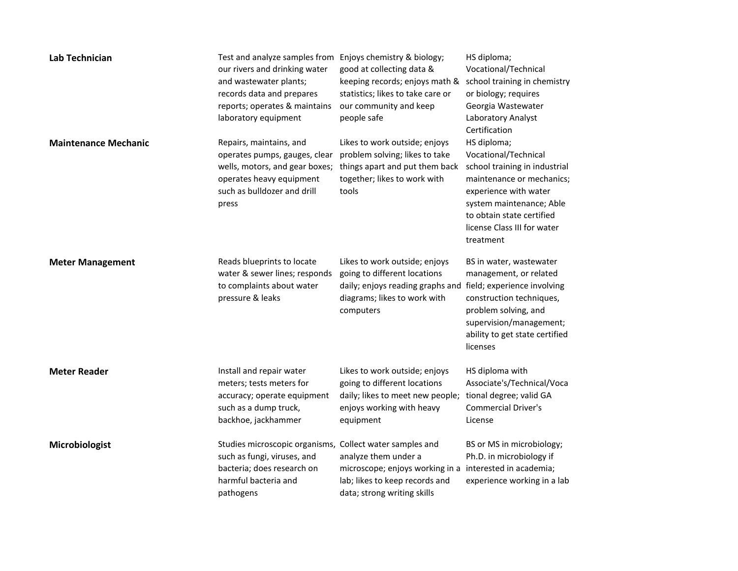| <b>Lab Technician</b>       | Test and analyze samples from<br>our rivers and drinking water<br>and wastewater plants;<br>records data and prepares<br>reports; operates & maintains<br>laboratory equipment | Enjoys chemistry & biology;<br>good at collecting data &<br>keeping records; enjoys math &<br>statistics; likes to take care or<br>our community and keep<br>people safe      | HS diploma;<br>Vocational/Technical<br>school training in chemistry<br>or biology; requires<br>Georgia Wastewater<br>Laboratory Analyst<br>Certification                                                                        |
|-----------------------------|--------------------------------------------------------------------------------------------------------------------------------------------------------------------------------|-------------------------------------------------------------------------------------------------------------------------------------------------------------------------------|---------------------------------------------------------------------------------------------------------------------------------------------------------------------------------------------------------------------------------|
| <b>Maintenance Mechanic</b> | Repairs, maintains, and<br>operates pumps, gauges, clear<br>wells, motors, and gear boxes;<br>operates heavy equipment<br>such as bulldozer and drill<br>press                 | Likes to work outside; enjoys<br>problem solving; likes to take<br>things apart and put them back<br>together; likes to work with<br>tools                                    | HS diploma;<br>Vocational/Technical<br>school training in industrial<br>maintenance or mechanics;<br>experience with water<br>system maintenance; Able<br>to obtain state certified<br>license Class III for water<br>treatment |
| <b>Meter Management</b>     | Reads blueprints to locate<br>water & sewer lines; responds<br>to complaints about water<br>pressure & leaks                                                                   | Likes to work outside; enjoys<br>going to different locations<br>daily; enjoys reading graphs and<br>diagrams; likes to work with<br>computers                                | BS in water, wastewater<br>management, or related<br>field; experience involving<br>construction techniques,<br>problem solving, and<br>supervision/management;<br>ability to get state certified<br>licenses                   |
| <b>Meter Reader</b>         | Install and repair water<br>meters; tests meters for<br>accuracy; operate equipment<br>such as a dump truck,<br>backhoe, jackhammer                                            | Likes to work outside; enjoys<br>going to different locations<br>daily; likes to meet new people;<br>enjoys working with heavy<br>equipment                                   | HS diploma with<br>Associate's/Technical/Voca<br>tional degree; valid GA<br><b>Commercial Driver's</b><br>License                                                                                                               |
| Microbiologist              | Studies microscopic organisms,<br>such as fungi, viruses, and<br>bacteria; does research on<br>harmful bacteria and<br>pathogens                                               | Collect water samples and<br>analyze them under a<br>microscope; enjoys working in a interested in academia;<br>lab; likes to keep records and<br>data; strong writing skills | BS or MS in microbiology;<br>Ph.D. in microbiology if<br>experience working in a lab                                                                                                                                            |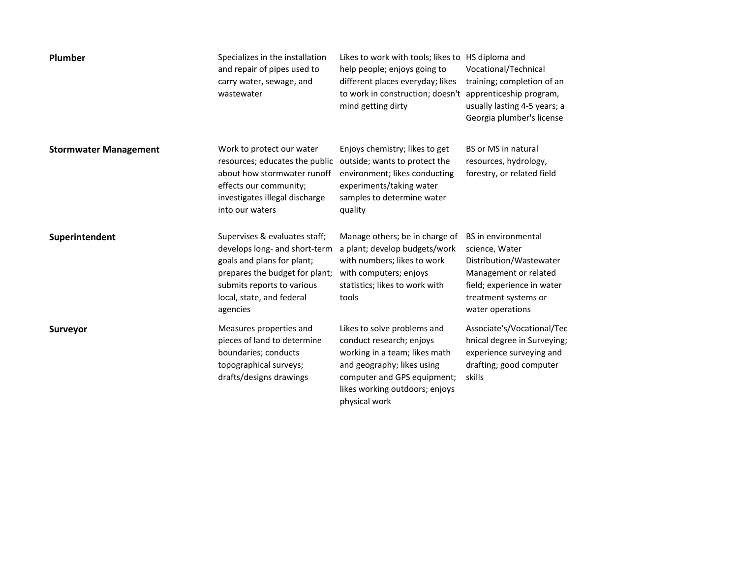| Plumber                      | Specializes in the installation<br>and repair of pipes used to<br>carry water, sewage, and<br>wastewater                                                                                              | Likes to work with tools; likes to HS diploma and<br>help people; enjoys going to<br>different places everyday; likes<br>to work in construction; doesn't apprenticeship program,<br>mind getting dirty  | Vocational/Technical<br>training; completion of an<br>usually lasting 4-5 years; a<br>Georgia plumber's license                                                            |
|------------------------------|-------------------------------------------------------------------------------------------------------------------------------------------------------------------------------------------------------|----------------------------------------------------------------------------------------------------------------------------------------------------------------------------------------------------------|----------------------------------------------------------------------------------------------------------------------------------------------------------------------------|
| <b>Stormwater Management</b> | Work to protect our water<br>resources; educates the public<br>about how stormwater runoff<br>effects our community;<br>investigates illegal discharge<br>into our waters                             | Enjoys chemistry; likes to get<br>outside; wants to protect the<br>environment; likes conducting<br>experiments/taking water<br>samples to determine water<br>quality                                    | <b>BS or MS in natural</b><br>resources, hydrology,<br>forestry, or related field                                                                                          |
| Superintendent               | Supervises & evaluates staff;<br>develops long- and short-term<br>goals and plans for plant;<br>prepares the budget for plant;<br>submits reports to various<br>local, state, and federal<br>agencies | Manage others; be in charge of<br>a plant; develop budgets/work<br>with numbers; likes to work<br>with computers; enjoys<br>statistics; likes to work with<br>tools                                      | <b>BS</b> in environmental<br>science, Water<br>Distribution/Wastewater<br>Management or related<br>field; experience in water<br>treatment systems or<br>water operations |
| <b>Surveyor</b>              | Measures properties and<br>pieces of land to determine<br>boundaries; conducts<br>topographical surveys;<br>drafts/designs drawings                                                                   | Likes to solve problems and<br>conduct research; enjoys<br>working in a team; likes math<br>and geography; likes using<br>computer and GPS equipment;<br>likes working outdoors; enjoys<br>physical work | Associate's/Vocational/Tec<br>hnical degree in Surveying;<br>experience surveying and<br>drafting; good computer<br>skills                                                 |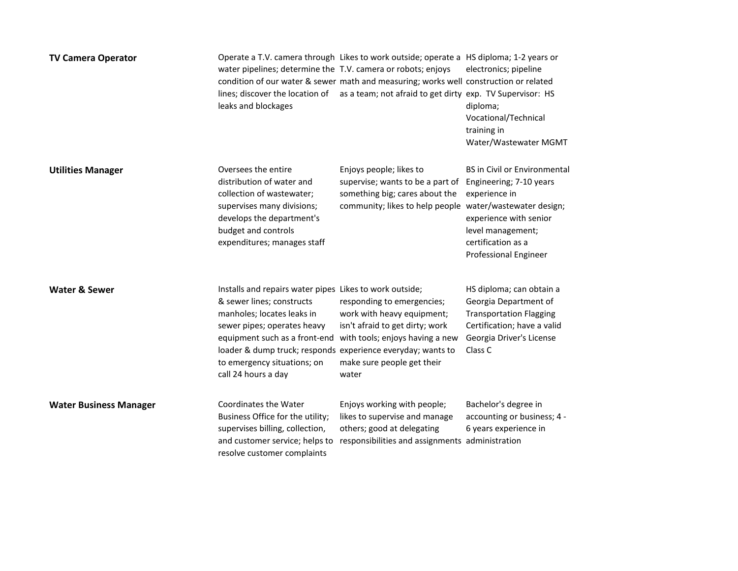| <b>TV Camera Operator</b>     | water pipelines; determine the T.V. camera or robots; enjoys<br>leaks and blockages                                                                                                                                                                                                                     | Operate a T.V. camera through Likes to work outside; operate a HS diploma; 1-2 years or<br>condition of our water & sewer math and measuring; works well construction or related<br>lines; discover the location of as a team; not afraid to get dirty exp. TV Supervisor: HS | electronics; pipeline<br>diploma;<br>Vocational/Technical<br>training in<br>Water/Wastewater MGMT                                                                                    |
|-------------------------------|---------------------------------------------------------------------------------------------------------------------------------------------------------------------------------------------------------------------------------------------------------------------------------------------------------|-------------------------------------------------------------------------------------------------------------------------------------------------------------------------------------------------------------------------------------------------------------------------------|--------------------------------------------------------------------------------------------------------------------------------------------------------------------------------------|
| <b>Utilities Manager</b>      | Oversees the entire<br>distribution of water and<br>collection of wastewater;<br>supervises many divisions;<br>develops the department's<br>budget and controls<br>expenditures; manages staff                                                                                                          | Enjoys people; likes to<br>supervise; wants to be a part of<br>something big; cares about the<br>community; likes to help people water/wastewater design;                                                                                                                     | <b>BS in Civil or Environmental</b><br>Engineering; 7-10 years<br>experience in<br>experience with senior<br>level management;<br>certification as a<br><b>Professional Engineer</b> |
| <b>Water &amp; Sewer</b>      | Installs and repairs water pipes Likes to work outside;<br>& sewer lines; constructs<br>manholes; locates leaks in<br>sewer pipes; operates heavy<br>equipment such as a front-end<br>loader & dump truck; responds experience everyday; wants to<br>to emergency situations; on<br>call 24 hours a day | responding to emergencies;<br>work with heavy equipment;<br>isn't afraid to get dirty; work<br>with tools; enjoys having a new<br>make sure people get their<br>water                                                                                                         | HS diploma; can obtain a<br>Georgia Department of<br><b>Transportation Flagging</b><br>Certification; have a valid<br>Georgia Driver's License<br>Class C                            |
| <b>Water Business Manager</b> | Coordinates the Water<br>Business Office for the utility;<br>supervises billing, collection,<br>and customer service; helps to<br>resolve customer complaints                                                                                                                                           | Enjoys working with people;<br>likes to supervise and manage<br>others; good at delegating<br>responsibilities and assignments administration                                                                                                                                 | Bachelor's degree in<br>accounting or business; 4 -<br>6 years experience in                                                                                                         |